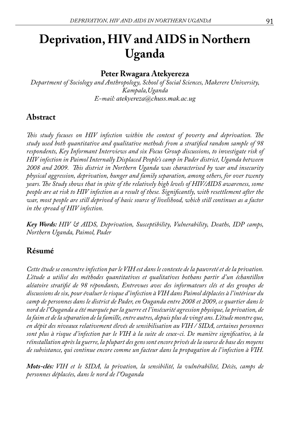# **Deprivation, HIV and AIDS in Northern Uganda**

# **Peter Rwagara Atekyereza**

*Department of Sociology and Anthropology, School of Social Sciences, Makerere University, Kampala,Uganda E-mail: atekyereza@chuss.mak.ac.ug*

# **Abstract**

*This study focuses on HIV infection within the context of poverty and deprivation. The study used both quantitative and qualitative methods from a stratified random sample of 98 respondents, Key Informant Interviews and six Focus Group discussions, to investigate risk of HIV infection in Paimol Internally Displaced People's camp in Pader district, Uganda between 2008 and 2009. This district in Northern Uganda was characterised by war and insecurity physical aggression, deprivation, hunger and family separation, among others, for over twenty years. The Study shows that in spite of the relatively high levels of HIV/AIDS awareness, some people are at risk to HIV infection as a result of these. Significantly, with resettlement after the war, most people are still deprived of basic source of livelihood, which still continues as a factor in the spread of HIV infection.*

*Key Words: HIV & AIDS, Deprivation, Susceptibility, Vulnerability, Deaths, IDP camps, Northern Uganda, Paimol, Pader*

# **Résumé**

*Cette étude se concentre infection par le VIH est dans le contexte de la pauvreté et de la privation. L'étude a utilisé des méthodes quantitatives et qualitatives bothans partir d'un échantillon aléatoire stratifié de 98 répondants, Entrevues avec des informateurs clés et des groupes de discussions de six, pour évaluer le risque d'infection à VIH dans Paimol déplacées à l'intérieur du camp de personnes dans le district de Pader, en Ouganda entre 2008 et 2009, ce quartier dans le nord de l'Ouganda a été marquée par la guerre et l'insécurité agression physique, la privation, de la faim et de la séparation de la famille, entre autres, depuis plus de vingt ans. L'étude montre que, en dépit des niveaux relativement élevés de sensibilisation au VIH / SIDA, certaines personnes sont plus à risque d'infection par le VIH à la suite de ceux-ci. De manière significative, à la réinstallation après la guerre, la plupart des gens sont encore privés de la source de base des moyens de subsistance, qui continue encore comme un facteur dans la propagation de l'infection à VIH.* 

*Mots-clés: VIH et le SIDA, la privation, la sensibilité, la vulnérabilité, Décès, camps de personnes déplacées, dans le nord de l'Ouganda*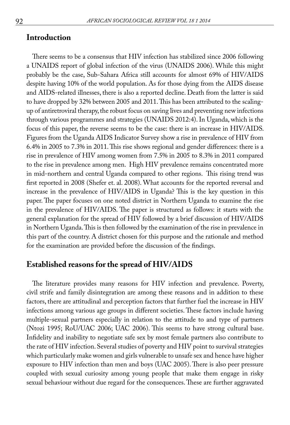### **Introduction**

There seems to be a consensus that HIV infection has stabilized since 2006 following a UNAIDS report of global infection of the virus (UNAIDS 2006). While this might probably be the case, Sub-Sahara Africa still accounts for almost 69% of HIV/AIDS despite having 10% of the world population. As for those dying from the AIDS disease and AIDS-related illnesses, there is also a reported decline. Death from the latter is said to have dropped by 32% between 2005 and 2011. This has been attributed to the scalingup of antiretroviral therapy, the robust focus on saving lives and preventing new infections through various programmes and strategies (UNAIDS 2012:4). In Uganda, which is the focus of this paper, the reverse seems to be the case: there is an increase in HIV/AIDS. Figures from the Uganda AIDS Indicator Survey show a rise in prevalence of HIV from 6.4% in 2005 to 7.3% in 2011. This rise shows regional and gender differences: there is a rise in prevalence of HIV among women from 7.5% in 2005 to 8.3% in 2011 compared to the rise in prevalence among men. High HIV prevalence remains concentrated more in mid-northern and central Uganda compared to other regions. This rising trend was first reported in 2008 (Shefer et. al. 2008). What accounts for the reported reversal and increase in the prevalence of HIV/AIDS in Uganda? This is the key question in this paper. The paper focuses on one noted district in Northern Uganda to examine the rise in the prevalence of HIV/AIDS. The paper is structured as follows: it starts with the general explanation for the spread of HIV followed by a brief discussion of HIV/AIDS in Northern Uganda. This is then followed by the examination of the rise in prevalence in this part of the country. A district chosen for this purpose and the rationale and method for the examination are provided before the discussion of the findings.

# **Established reasons for the spread of HIV/AIDS**

The literature provides many reasons for HIV infection and prevalence. Poverty, civil strife and family disintegration are among these reasons and in addition to these factors, there are attitudinal and perception factors that further fuel the increase in HIV infections among various age groups in different societies. These factors include having multiple-sexual partners especially in relation to the attitude to and type of partners (Ntozi 1995; RoU/UAC 2006; UAC 2006). This seems to have strong cultural base. Infidelity and inability to negotiate safe sex by most female partners also contribute to the rate of HIV infection. Several studies of poverty and HIV point to survival strategies which particularly make women and girls vulnerable to unsafe sex and hence have higher exposure to HIV infection than men and boys (UAC 2005). There is also peer pressure coupled with sexual curiosity among young people that make them engage in risky sexual behaviour without due regard for the consequences. These are further aggravated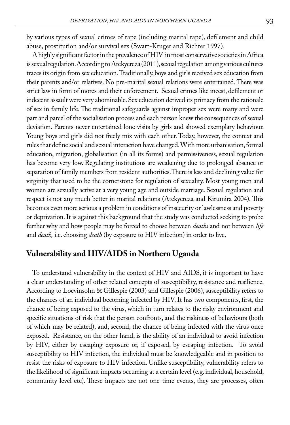by various types of sexual crimes of rape (including marital rape), defilement and child abuse, prostitution and/or survival sex (Swart-Kruger and Richter 1997).

A highly significant factor in the prevalence of HIV in most conservative societies in Africa is sexual regulation. According to Atekyereza (2011), sexual regulation among various cultures traces its origin from sex education. Traditionally, boys and girls received sex education from their parents and/or relatives. No pre-marital sexual relations were entertained. There was strict law in form of mores and their enforcement. Sexual crimes like incest, defilement or indecent assault were very abominable. Sex education derived its primacy from the rationale of sex in family life. The traditional safeguards against improper sex were many and were part and parcel of the socialisation process and each person knew the consequences of sexual deviation. Parents never entertained lone visits by girls and showed exemplary behaviour. Young boys and girls did not freely mix with each other. Today, however, the context and rules that define social and sexual interaction have changed. With more urbanisation, formal education, migration, globalisation (in all its forms) and permissiveness, sexual regulation has become very low. Regulating institutions are weakening due to prolonged absence or separation of family members from resident authorities. There is less and declining value for virginity that used to be the cornerstone for regulation of sexuality. Most young men and women are sexually active at a very young age and outside marriage. Sexual regulation and respect is not any much better in marital relations (Atekyereza and Kirumira 2004). This becomes even more serious a problem in conditions of insecurity or lawlessness and poverty or deprivation. It is against this background that the study was conducted seeking to probe further why and how people may be forced to choose between *deaths* and not between *life* and *death,* i.e. choosing *death* (by exposure to HIV infection) in order to live.

# **Vulnerability and HIV/AIDS in Northern Uganda**

To understand vulnerability in the context of HIV and AIDS, it is important to have a clear understanding of other related concepts of susceptibility, resistance and resilience. According to Loevinsohn & Gillespie (2003) and Gillespie (2006), susceptibility refers to the chances of an individual becoming infected by HIV. It has two components, first, the chance of being exposed to the virus, which in turn relates to the risky environment and specific situations of risk that the person confronts, and the riskiness of behaviours (both of which may be related), and, second, the chance of being infected with the virus once exposed. Resistance, on the other hand, is the ability of an individual to avoid infection by HIV, either by escaping exposure or, if exposed, by escaping infection. To avoid susceptibility to HIV infection, the individual must be knowledgeable and in position to resist the risks of exposure to HIV infection. Unlike susceptibility, vulnerability refers to the likelihood of significant impacts occurring at a certain level (e.g. individual, household, community level etc). These impacts are not one-time events, they are processes, often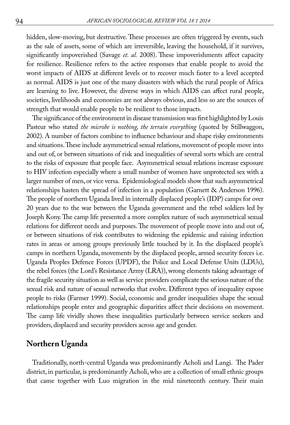hidden, slow-moving, but destructive. These processes are often triggered by events, such as the sale of assets, some of which are irreversible, leaving the household, if it survives, significantly impoverished (Savage *et. al.* 2008). These impoverishments affect capacity for resilience. Resilience refers to the active responses that enable people to avoid the worst impacts of AIDS at different levels or to recover much faster to a level accepted as normal. AIDS is just one of the many disasters with which the rural people of Africa are learning to live. However, the diverse ways in which AIDS can affect rural people, societies, livelihoods and economies are not always obvious, and less so are the sources of strength that would enable people to be resilient to those impacts.

The significance of the environment in disease transmission was first highlighted by Louis Pasteur who stated *the microbe is nothing, the terrain everything* (quoted by Stillwaggon, 2002). A number of factors combine to influence behaviour and shape risky environments and situations. These include asymmetrical sexual relations, movement of people move into and out of, or between situations of risk and inequalities of several sorts which are central to the risks of exposure that people face. Asymmetrical sexual relations increase exposure to HIV infection especially where a small number of women have unprotected sex with a larger number of men, or vice versa. Epidemiological models show that such asymmetrical relationships hasten the spread of infection in a population (Garnett & Anderson 1996). The people of northern Uganda lived in internally displaced people's (IDP) camps for over 20 years due to the war between the Uganda government and the rebel soldiers led by Joseph Kony. The camp life presented a more complex nature of such asymmetrical sexual relations for different needs and purposes. The movement of people move into and out of, or between situations of risk contributes to widening the epidemic and raising infection rates in areas or among groups previously little touched by it. In the displaced people's camps in northern Uganda, movements by the displaced people, armed security forces i.e. Uganda Peoples Defence Forces (UPDF), the Police and Local Defense Units (LDUs), the rebel forces (the Lord's Resistance Army (LRA)), wrong elements taking advantage of the fragile security situation as well as service providers complicate the serious nature of the sexual risk and nature of sexual networks that evolve. Different types of inequality expose people to risks (Farmer 1999). Social, economic and gender inequalities shape the sexual relationships people enter and geographic disparities affect their decisions on movement. The camp life vividly shows these inequalities particularly between service seekers and providers, displaced and security providers across age and gender.

# **Northern Uganda**

Traditionally, north-central Uganda was predominantly Acholi and Langi. The Pader district, in particular, is predominantly Acholi, who are a collection of small ethnic groups that came together with Luo migration in the mid nineteenth century. Their main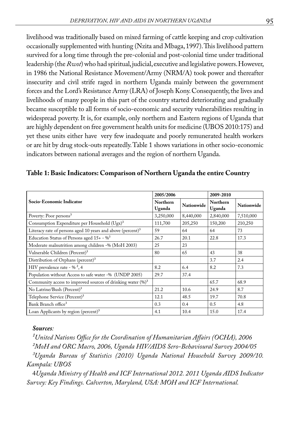livelihood was traditionally based on mixed farming of cattle keeping and crop cultivation occasionally supplemented with hunting (Nzita and Mbaga, 1997). This livelihood pattern survived for a long time through the pre-colonial and post-colonial time under traditional leadership (the *Rwot*) who had spiritual, judicial, executive and legislative powers. However, in 1986 the National Resistance Movement/Army (NRM/A) took power and thereafter insecurity and civil strife raged in northern Uganda mainly between the government forces and the Lord's Resistance Army (LRA) of Joseph Kony. Consequently, the lives and livelihoods of many people in this part of the country started deteriorating and gradually became susceptible to all forms of socio-economic and security vulnerabilities resulting in widespread poverty. It is, for example, only northern and Eastern regions of Uganda that are highly dependent on free government health units for medicine (UBOS 2010:175) and yet these units either have very few inadequate and poorly remunerated health workers or are hit by drug stock-outs repeatedly. Table 1 shows variations in other socio-economic indicators between national averages and the region of northern Uganda.

|                                                                         | 2005/2006                 |            | 2009-2010          |                   |
|-------------------------------------------------------------------------|---------------------------|------------|--------------------|-------------------|
| Socio-Economic Indicator                                                | <b>Northern</b><br>Uganda | Nationwide | Northern<br>Uganda | <b>Nationwide</b> |
| Poverty: Poor persons <sup>3</sup>                                      | 3,250,000                 | 8,440,000  | 2,840,000          | 7,510,000         |
| Consumption Expenditure per Household (Ugx) <sup>3</sup>                | 111,700                   | 205,250    | 150,200            | 210,250           |
| Literacy rate of persons aged 10 years and above (percent) <sup>3</sup> | 59                        | 64         | 64                 | 73                |
| Education Status of Persons aged $15+ -\%^3$                            | 26.7                      | 20.1       | 22.8               | 17.3              |
| Moderate malnutrition among children -% (MoH 2003)                      | 25                        | 23         |                    |                   |
| Vulnerable Children (Percent) <sup>3</sup>                              | 80                        | 65         | 43                 | 38                |
| Distribution of Orphans (percent) <sup>3</sup>                          |                           |            | 3.7                | 2.4               |
| HIV prevalence rate - % <sup>2</sup> , 4                                | 8.2                       | 6.4        | 8.2                | 7.3               |
| Population without Access to safe water -% (UNDP 2005)                  | 29.7                      | 37.4       |                    |                   |
| Community access to improved sources of drinking water $(\%)^3$         |                           |            | 65.7               | 68.9              |
| No Latrine/Bush (Percent) <sup>3</sup>                                  | 21.2                      | 10.6       | 24.9               | 8.7               |
| Telephone Service (Percent) <sup>3</sup>                                | 12.1                      | 48.5       | 19.7               | 70.8              |
| Bank Branch office <sup>3</sup>                                         | 0.3                       | 0.4        | 0.5                | 4.8               |
| Loan Applicants by region (percent) $3$                                 | 4.1                       | 10.4       | 15.0               | 17.4              |

### **Table 1: Basic Indicators: Comparison of Northern Uganda the entire Country**

#### *Sources:*

*¹United Nations Office for the Coordination of Humanitarian Affairs (OCHA), 2006 ²MoH and ORC Macro, 2006, Uganda HIV/AIDS Sero-Behavioural Survey 2004/05 ³Uganda Bureau of Statistics (2010) Uganda National Household Survey 2009/10. Kampala: UBOS*

4*Uganda Ministry of Health and ICF International 2012. 2011 Uganda AIDS Indicator Survey: Key Findings. Calverton, Maryland, USA: MOH and ICF International.*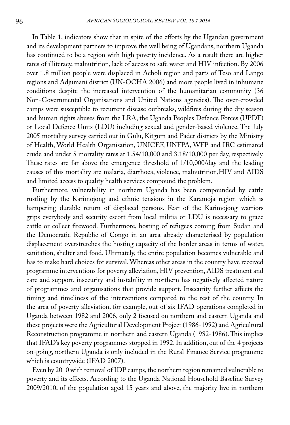In Table 1, indicators show that in spite of the efforts by the Ugandan government and its development partners to improve the well being of Ugandans, northern Uganda has continued to be a region with high poverty incidence. As a result there are higher rates of illiteracy, malnutrition, lack of access to safe water and HIV infection. By 2006 over 1.8 million people were displaced in Acholi region and parts of Teso and Lango regions and Adjumani district (UN-OCHA 2006) and more people lived in inhumane conditions despite the increased intervention of the humanitarian community (36 Non-Governmental Organisations and United Nations agencies). The over-crowded camps were susceptible to recurrent disease outbreaks, wildfires during the dry season and human rights abuses from the LRA, the Uganda Peoples Defence Forces (UPDF) or Local Defence Units (LDU) including sexual and gender-based violence. The July 2005 mortality survey carried out in Gulu, Kitgum and Pader districts by the Ministry of Health, World Health Organisation, UNICEF, UNFPA, WFP and IRC estimated crude and under 5 mortality rates at 1.54/10,000 and 3.18/10,000 per day, respectively. These rates are far above the emergence threshold of 1/10,000/day and the leading causes of this mortality are malaria, diarrhoea, violence, malnutrition,HIV and AIDS and limited access to quality health services compound the problem.

Furthermore, vulnerability in northern Uganda has been compounded by cattle rustling by the Karimojong and ethnic tensions in the Karamoja region which is hampering durable return of displaced persons. Fear of the Karimojong warriors grips everybody and security escort from local militia or LDU is necessary to graze cattle or collect firewood. Furthermore, hosting of refugees coming from Sudan and the Democratic Republic of Congo in an area already characterised by population displacement overstretches the hosting capacity of the border areas in terms of water, sanitation, shelter and food. Ultimately, the entire population becomes vulnerable and has to make hard choices for survival. Whereas other areas in the country have received programme interventions for poverty alleviation, HIV prevention, AIDS treatment and care and support, insecurity and instability in northern has negatively affected nature of programmes and organisations that provide support. Insecurity further affects the timing and timeliness of the interventions compared to the rest of the country. In the area of poverty alleviation, for example, out of six IFAD operations completed in Uganda between 1982 and 2006, only 2 focused on northern and eastern Uganda and these projects were the Agricultural Development Project (1986-1992) and Agricultural Reconstruction programme in northern and eastern Uganda (1982-1986). This implies that IFAD's key poverty programmes stopped in 1992. In addition, out of the 4 projects on-going, northern Uganda is only included in the Rural Finance Service programme which is countrywide (IFAD 2007).

Even by 2010 with removal of IDP camps, the northern region remained vulnerable to poverty and its effects. According to the Uganda National Household Baseline Survey 2009/2010, of the population aged 15 years and above, the majority live in northern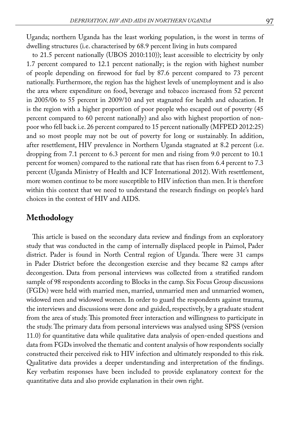Uganda; northern Uganda has the least working population, is the worst in terms of dwelling structures (i.e. characterised by 68.9 percent living in huts compared

to 21.5 percent nationally (UBOS 2010:110)); least accessible to electricity by only 1.7 percent compared to 12.1 percent nationally; is the region with highest number of people depending on firewood for fuel by 87.6 percent compared to 73 percent nationally. Furthermore, the region has the highest levels of unemployment and is also the area where expenditure on food, beverage and tobacco increased from 52 percent in 2005/06 to 55 percent in 2009/10 and yet stagnated for health and education. It is the region with a higher proportion of poor people who escaped out of poverty (45 percent compared to 60 percent nationally) and also with highest proportion of nonpoor who fell back i.e. 26 percent compared to 15 percent nationally (MFPED 2012:25) and so most people may not be out of poverty for long or sustainably. In addition, after resettlement, HIV prevalence in Northern Uganda stagnated at 8.2 percent (i.e. dropping from 7.1 percent to 6.3 percent for men and rising from 9.0 percent to 10.1 percent for women) compared to the national rate that has risen from 6.4 percent to 7.3 percent (Uganda Ministry of Health and ICF International 2012). With resettlement, more women continue to be more susceptible to HIV infection than men. It is therefore within this context that we need to understand the research findings on people's hard choices in the context of HIV and AIDS.

# **Methodology**

This article is based on the secondary data review and findings from an exploratory study that was conducted in the camp of internally displaced people in Paimol, Pader district. Pader is found in North Central region of Uganda. There were 31 camps in Pader District before the decongestion exercise and they became 82 camps after decongestion. Data from personal interviews was collected from a stratified random sample of 98 respondents according to Blocks in the camp. Six Focus Group discussions (FGDs) were held with married men, married, unmarried men and unmarried women, widowed men and widowed women. In order to guard the respondents against trauma, the interviews and discussions were done and guided, respectively, by a graduate student from the area of study. This promoted freer interaction and willingness to participate in the study. The primary data from personal interviews was analysed using SPSS (version 11.0) for quantitative data while qualitative data analysis of open-ended questions and data from FGDs involved the thematic and content analysis of how respondents socially constructed their perceived risk to HIV infection and ultimately responded to this risk. Qualitative data provides a deeper understanding and interpretation of the findings. Key verbatim responses have been included to provide explanatory context for the quantitative data and also provide explanation in their own right.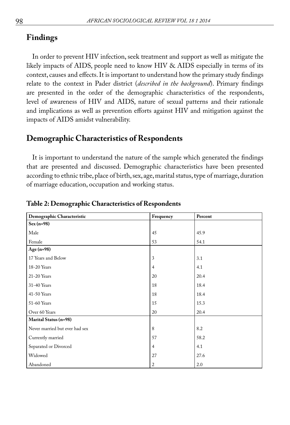# **Findings**

In order to prevent HIV infection, seek treatment and support as well as mitigate the likely impacts of AIDS, people need to know HIV & AIDS especially in terms of its context, causes and effects. It is important to understand how the primary study findings relate to the context in Pader district (*described in the background*). Primary findings are presented in the order of the demographic characteristics of the respondents, level of awareness of HIV and AIDS, nature of sexual patterns and their rationale and implications as well as prevention efforts against HIV and mitigation against the impacts of AIDS amidst vulnerability.

# **Demographic Characteristics of Respondents**

It is important to understand the nature of the sample which generated the findings that are presented and discussed. Demographic characteristics have been presented according to ethnic tribe, place of birth, sex, age, marital status, type of marriage, duration of marriage education, occupation and working status.

| Demographic Characteristic     | Frequency      | Percent |
|--------------------------------|----------------|---------|
| $Sex(n=98)$                    |                |         |
| Male                           | 45             | 45.9    |
| Female                         | 53             | 54.1    |
| Age $(n=98)$                   |                |         |
| 17 Years and Below             | 3              | 3.1     |
| 18-20 Years                    | $\overline{4}$ | 4.1     |
| 21-20 Years                    | 20             | 20.4    |
| 31-40 Years                    | 18             | 18.4    |
| 41-50 Years                    | 18             | 18.4    |
| 51-60 Years                    | 15             | 15.3    |
| Over 60 Years                  | 20             | 20.4    |
| Marital Status (n=98)          |                |         |
| Never married but ever had sex | 8              | 8.2     |
| Currently married              | 57             | 58.2    |
| Separated or Divorced          | $\overline{4}$ | 4.1     |
| Widowed                        | 27             | 27.6    |
| Abandoned                      | $\overline{2}$ | 2.0     |

#### **Table 2: Demographic Characteristics of Respondents**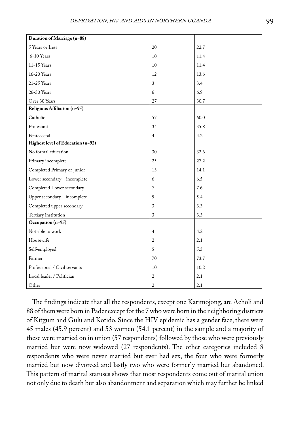| Duration of Marriage (n=88)       |                |      |
|-----------------------------------|----------------|------|
| 5 Years or Less                   | 20             | 22.7 |
| 6-10 Years                        | 10             | 11.4 |
| 11-15 Years                       | 10             | 11.4 |
| $16-20$ Years                     | 12             | 13.6 |
| 21-25 Years                       | 3              | 3.4  |
| 26-30 Years                       | 6              | 6.8  |
| Over 30 Years                     | 27             | 30.7 |
| Religious Affiliation (n=95)      |                |      |
| Catholic                          | 57             | 60.0 |
| Protestant                        | 34             | 35.8 |
| Pentecostal                       | 4              | 4.2  |
| Highest level of Education (n=92) |                |      |
| No formal education               | 30             | 32.6 |
| Primary incomplete                | 25             | 27.2 |
| Completed Primary or Junior       | 13             | 14.1 |
| Lower secondary - incomplete      | 6              | 6.5  |
| Completed Lower secondary         | 7              | 7.6  |
| Upper secondary - incomplete      | 5              | 5.4  |
| Completed upper secondary         | 3              | 3.3  |
| Tertiary institution              | 3              | 3.3  |
| Occupation (n=95)                 |                |      |
| Not able to work                  | $\overline{4}$ | 4.2  |
| Housewife                         | 2              | 2.1  |
| Self-employed                     | 5              | 5.3  |
| Farmer                            | 70             | 73.7 |
| Professional / Civil servants     | 10             | 10.2 |
| Local leader / Politician         | $\overline{c}$ | 2.1  |
| Other                             | $\overline{2}$ | 2.1  |

The findings indicate that all the respondents, except one Karimojong, are Acholi and 88 of them were born in Pader except for the 7 who were born in the neighboring districts of Kitgum and Gulu and Kotido. Since the HIV epidemic has a gender face, there were 45 males (45.9 percent) and 53 women (54.1 percent) in the sample and a majority of these were married on in union (57 respondents) followed by those who were previously married but were now widowed (27 respondents). The other categories included 8 respondents who were never married but ever had sex, the four who were formerly married but now divorced and lastly two who were formerly married but abandoned. This pattern of marital statuses shows that most respondents come out of marital union not only due to death but also abandonment and separation which may further be linked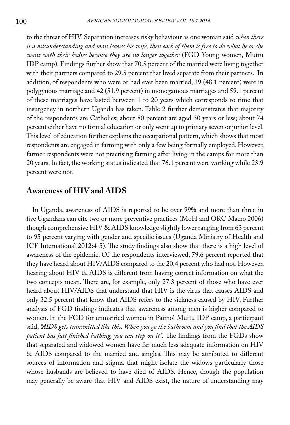to the threat of HIV. Separation increases risky behaviour as one woman said *when there is a misunderstanding and man leaves his wife, then each of them is free to do what he or she want with their bodies because they are no longer together* (FGD Young women, Muttu IDP camp)*.* Findings further show that 70.5 percent of the married were living together with their partners compared to 29.5 percent that lived separate from their partners. In addition, of respondents who were or had ever been married, 39 (48.1 percent) were in polygynous marriage and 42 (51.9 percent) in monogamous marriages and 59.1 percent of these marriages have lasted between 1 to 20 years which corresponds to time that insurgency in northern Uganda has taken. Table 2 further demonstrates that majority of the respondents are Catholics; about 80 percent are aged 30 years or less; about 74 percent either have no formal education or only went up to primary seven or junior level. This level of education further explains the occupational pattern, which shows that most respondents are engaged in farming with only a few being formally employed. However, farmer respondents were not practising farming after living in the camps for more than 20 years. In fact, the working status indicated that 76.1 percent were working while 23.9 percent were not.

# **Awareness of HIV and AIDS**

In Uganda, awareness of AIDS is reported to be over 99% and more than three in five Ugandans can cite two or more preventive practices (MoH and ORC Macro 2006) though comprehensive HIV & AIDS knowledge slightly lower ranging from 63 percent to 95 percent varying with gender and specific issues (Uganda Ministry of Health and ICF International 2012:4-5). The study findings also show that there is a high level of awareness of the epidemic. Of the respondents interviewed, 79.6 percent reported that they have heard about HIV/AIDS compared to the 20.4 percent who had not. However, hearing about HIV & AIDS is different from having correct information on what the two concepts mean. There are, for example, only 27.3 percent of those who have ever heard about HIV/AIDS that understand that HIV is the virus that causes AIDS and only 32.5 percent that know that AIDS refers to the sickness caused by HIV. Further analysis of FGD findings indicates that awareness among men is higher compared to women. In the FGD for unmarried women in Paimol Muttu IDP camp, a participant said, *"AIDS gets transmitted like this. When you go the bathroom and you find that the AIDS patient has just finished bathing, you can step on it".* The findings from the FGDs show that separated and widowed women have far much less adequate information on HIV & AIDS compared to the married and singles. This may be attributed to different sources of information and stigma that might isolate the widows particularly those whose husbands are believed to have died of AIDS. Hence, though the population may generally be aware that HIV and AIDS exist, the nature of understanding may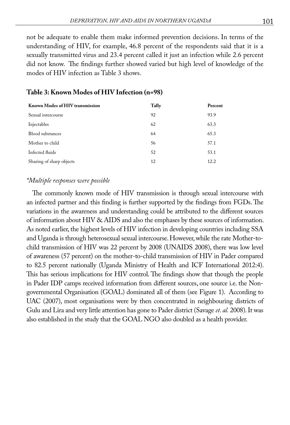not be adequate to enable them make informed prevention decisions. In terms of the understanding of HIV, for example, 46.8 percent of the respondents said that it is a sexually transmitted virus and 23.4 percent called it just an infection while 2.6 percent did not know. The findings further showed varied but high level of knowledge of the modes of HIV infection as Table 3 shows.

| Known Modes of HIV transmission | Tally | Percent |
|---------------------------------|-------|---------|
| Sexual intercourse              | 92    | 93.9    |
| Injectables                     | 62    | 63.3    |
| <b>Blood</b> substances         | 64    | 65.3    |
| Mother to child                 | 56    | 57.1    |
| Infected fluids                 | 52    | 53.1    |
| Sharing of sharp objects        | 12    | 12.2    |

### **Table 3: Known Modes of HIV Infection (n=98)**

#### *\*Multiple responses were possible*

The commonly known mode of HIV transmission is through sexual intercourse with an infected partner and this finding is further supported by the findings from FGDs. The variations in the awareness and understanding could be attributed to the different sources of information about HIV & AIDS and also the emphases by these sources of information. As noted earlier, the highest levels of HIV infection in developing countries including SSA and Uganda is through heterosexual sexual intercourse. However, while the rate Mother-tochild transmission of HIV was 22 percent by 2008 (UNAIDS 2008), there was low level of awareness (57 percent) on the mother-to-child transmission of HIV in Pader compared to 82.5 percent nationally (Uganda Ministry of Health and ICF International 2012:4). This has serious implications for HIV control. The findings show that though the people in Pader IDP camps received information from different sources, one source i.e. the Nongovernmental Organisation (GOAL) dominated all of them (see Figure 1). According to UAC (2007), most organisations were by then concentrated in neighbouring districts of Gulu and Lira and very little attention has gone to Pader district (Savage *et. al.* 2008). It was also established in the study that the GOAL NGO also doubled as a health provider.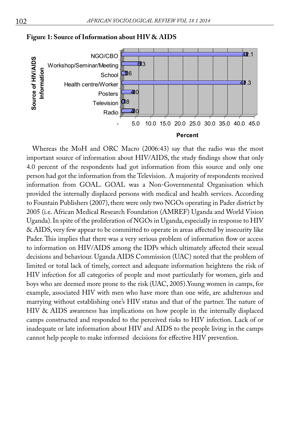

**Figure 1: Source of Information about HIV & AIDS**

Whereas the MoH and ORC Macro (2006:43) say that the radio was the most important source of information about HIV/AIDS, the study findings show that only 4.0 percent of the respondents had got information from this source and only one person had got the information from the Television. A majority of respondents received information from GOAL. GOAL was a Non-Governmental Organisation which provided the internally displaced persons with medical and health services. According to Fountain Publishers (2007), there were only two NGOs operating in Pader district by 2005 (i.e. African Medical Research Foundation (AMREF) Uganda and World Vision Uganda). In spite of the proliferation of NGOs in Uganda, especially in response to HIV & AIDS, very few appear to be committed to operate in areas affected by insecurity like Pader. This implies that there was a very serious problem of information flow or access to information on HIV/AIDS among the IDPs which ultimately affected their sexual decisions and behaviour. Uganda AIDS Commission (UAC) noted that the problem of limited or total lack of timely, correct and adequate information heightens the risk of HIV infection for all categories of people and most particularly for women, girls and boys who are deemed more prone to the risk (UAC, 2005).Young women in camps, for example, associated HIV with men who have more than one wife, are adulterous and marrying without establishing one's HIV status and that of the partner. The nature of HIV & AIDS awareness has implications on how people in the internally displaced camps constructed and responded to the perceived risks to HIV infection. Lack of or inadequate or late information about HIV and AIDS to the people living in the camps cannot help people to make informed decisions for effective HIV prevention.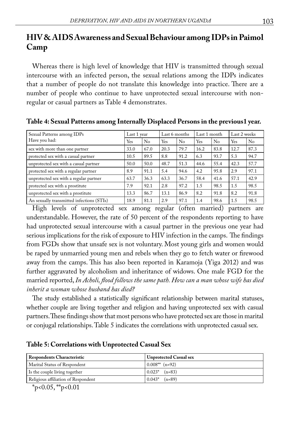# **HIV & AIDS Awareness and Sexual Behaviour among IDPs in Paimol Camp**

Whereas there is high level of knowledge that HIV is transmitted through sexual intercourse with an infected person, the sexual relations among the IDPs indicates that a number of people do not translate this knowledge into practice. There are a number of people who continue to have unprotected sexual intercourse with nonregular or casual partners as Table 4 demonstrates.

| Sexual Patterns among IDPs                | Last 1 year |          | Last 6 months |      | Last 1 month |      | Last 2 weeks |      |
|-------------------------------------------|-------------|----------|---------------|------|--------------|------|--------------|------|
| Have you had:                             | Yes         | $\rm No$ | Yes           | No   | Yes          | No   | Yes          | No   |
| sex with more than one partner            | 33.0        | 67.0     | 20.3          | 79.7 | 16.2         | 83.8 | 12.7         | 87.3 |
| protected sex with a casual partner       | 10.5        | 89.5     | 8.8           | 91.2 | 6.3          | 93.7 | 5.3          | 94.7 |
| unprotected sex with a casual partner     | 50.0        | 50.0     | 48.7          | 51.3 | 44.6         | 55.4 | 42.3         | 57.7 |
| protected sex with a regular partner      | 8.9         | 91.1     | 5.4           | 94.6 | 4.2          | 95.8 | 2.9          | 97.1 |
| unprotected sex with a regular partner    | 63.7        | 36.3     | 63.3          | 36.7 | 58.4         | 41.6 | 57.1         | 42.9 |
| protected sex with a prostitute           | 7.9         | 92.1     | 2.8           | 97.2 | 1.5          | 98.5 | 1.5          | 98.5 |
| unprotected sex with a prostitute         | 13.3        | 86.7     | 13.1          | 86.9 | 8.2          | 91.8 | 8.2          | 91.8 |
| An sexually transmitted infections (STIs) | 18.9        | 81.1     | 2.9           | 97.1 | 1.4          | 98.6 | 1.5          | 98.5 |

**Table 4: Sexual Patterns among Internally Displaced Persons in the previous1 year.**

High levels of unprotected sex among regular (often married) partners are understandable. However, the rate of 50 percent of the respondents reporting to have had unprotected sexual intercourse with a casual partner in the previous one year had serious implications for the risk of exposure to HIV infection in the camps. The findings from FGDs show that unsafe sex is not voluntary. Most young girls and women would be raped by unmarried young men and rebels when they go to fetch water or firewood away from the camps. This has also been reported in Karamoja (Yiga 2012) and was further aggravated by alcoholism and inheritance of widows. One male FGD for the married reported, *In Acholi, flood follows the same path. How can a man whose wife has died inherit a woman whose husband has died?*

The study established a statistically significant relationship between marital statuses, whether couple are living together and religion and having unprotected sex with casual partners. These findings show that most persons who have protected sex are those in marital or conjugal relationships. Table 5 indicates the correlations with unprotected casual sex.

### **Table 5: Correlations with Unprotected Casual Sex**

| <b>Respondents Characteristic</b>   | <b>Unprotected Casual sex</b> |
|-------------------------------------|-------------------------------|
| Marital Status of Respondent        | $0.008**$ (n=92)              |
| Is the couple living together       | $0.023^*$ (n=83)              |
| Religious affiliation of Respondent | $0.043^*$ (n=89)              |

 $*_{p<0.05,*p<0.01}$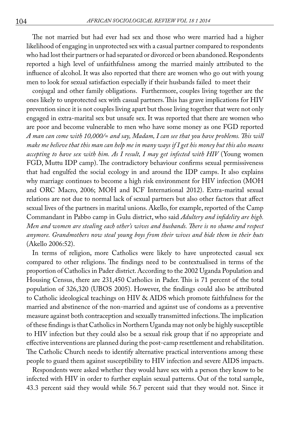The not married but had ever had sex and those who were married had a higher likelihood of engaging in unprotected sex with a casual partner compared to respondents who had lost their partners or had separated or divorced or been abandoned. Respondents reported a high level of unfaithfulness among the married mainly attributed to the influence of alcohol. It was also reported that there are women who go out with young men to look for sexual satisfaction especially if their husbands failed to meet their

conjugal and other family obligations. Furthermore, couples living together are the ones likely to unprotected sex with casual partners. This has grave implications for HIV prevention since it is not couples living apart but those living together that were not only engaged in extra-marital sex but unsafe sex. It was reported that there are women who are poor and become vulnerable to men who have some money as one FGD reported *A man can come with 10,000/= and say, Madam, I can see that you have problems. This will make me believe that this man can help me in many ways if I get his money but this also means accepting to have sex with him. As I result, I may get infected with HIV* (Young women FGD, Muttu IDP camp). The contradictory behaviour confirms sexual permissiveness that had engulfed the social ecology in and around the IDP camps. It also explains why marriage continues to become a high risk environment for HIV infection (MOH and ORC Macro, 2006; MOH and ICF International 2012). Extra-marital sexual relations are not due to normal lack of sexual partners but also other factors that affect sexual lives of the partners in marital unions. Akello, for example, reported of the Camp Commandant in Pabbo camp in Gulu district, who said *Adultery and infidelity are high. Men and women are stealing each other's wives and husbands. There is no shame and respect anymore. Grandmothers now steal young boys from their wives and hide them in their huts*  (Akello 2006:52).

In terms of religion, more Catholics were likely to have unprotected casual sex compared to other religions. The findings need to be contextualised in terms of the proportion of Catholics in Pader district. According to the 2002 Uganda Population and Housing Census, there are 231,450 Catholics in Pader. This is 71 percent of the total population of 326,320 (UBOS 2005). However, the findings could also be attributed to Catholic ideological teachings on HIV & AIDS which promote faithfulness for the married and abstinence of the non-married and against use of condoms as a preventive measure against both contraception and sexually transmitted infections. The implication of these findings is that Catholics in Northern Uganda may not only be highly susceptible to HIV infection but they could also be a sexual risk group that if no appropriate and effective interventions are planned during the post-camp resettlement and rehabilitation. The Catholic Church needs to identify alternative practical interventions among these people to guard them against susceptibility to HIV infection and severe AIDS impacts.

Respondents were asked whether they would have sex with a person they know to be infected with HIV in order to further explain sexual patterns. Out of the total sample, 43.3 percent said they would while 56.7 percent said that they would not. Since it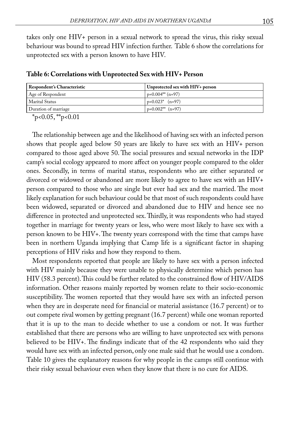takes only one HIV+ person in a sexual network to spread the virus, this risky sexual behaviour was bound to spread HIV infection further. Table 6 show the correlations for unprotected sex with a person known to have HIV.

| <b>Respondent's Characteristic</b> | Unprotected sex with HIV+ person |
|------------------------------------|----------------------------------|
| Age of Respondent                  | $p=0.004** (n=97)$               |
| Marital Status                     | $p=0.023$ * (n=97)               |
| Duration of marriage               | $p=0.002**$ (n=97)               |

**Table 6: Correlations with Unprotected Sex with HIV+ Person**

 $*_{p<0.05,*p<0.01}$ 

The relationship between age and the likelihood of having sex with an infected person shows that people aged below 50 years are likely to have sex with an HIV+ person compared to those aged above 50. The social pressures and sexual networks in the IDP camp's social ecology appeared to more affect on younger people compared to the older ones. Secondly, in terms of marital status, respondents who are either separated or divorced or widowed or abandoned are more likely to agree to have sex with an HIV+ person compared to those who are single but ever had sex and the married. The most likely explanation for such behaviour could be that most of such respondents could have been widowed, separated or divorced and abandoned due to HIV and hence see no difference in protected and unprotected sex. Thirdly, it was respondents who had stayed together in marriage for twenty years or less, who were most likely to have sex with a person known to be HIV+. The twenty years correspond with the time that camps have been in northern Uganda implying that Camp life is a significant factor in shaping perceptions of HIV risks and how they respond to them.

Most respondents reported that people are likely to have sex with a person infected with HIV mainly because they were unable to physically determine which person has HIV (58.3 percent). This could be further related to the constrained flow of HIV/AIDS information. Other reasons mainly reported by women relate to their socio-economic susceptibility. The women reported that they would have sex with an infected person when they are in desperate need for financial or material assistance (16.7 percent) or to out compete rival women by getting pregnant (16.7 percent) while one woman reported that it is up to the man to decide whether to use a condom or not. It was further established that there are persons who are willing to have unprotected sex with persons believed to be HIV+. The findings indicate that of the 42 respondents who said they would have sex with an infected person, only one male said that he would use a condom. Table 10 gives the explanatory reasons for why people in the camps still continue with their risky sexual behaviour even when they know that there is no cure for AIDS.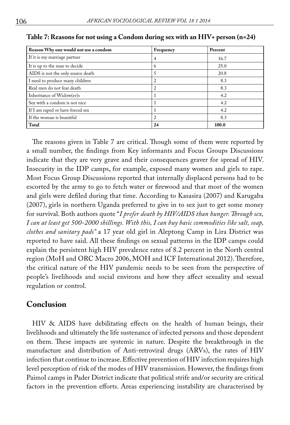| Reason Why one would not use a condom | Frequency      | Percent |
|---------------------------------------|----------------|---------|
| If it is my marriage partner          | 4              | 16.7    |
| It is up to the man to decide         | 6              | 25.0    |
| AIDS is not the only source death     |                | 20.8    |
| I need to produce many children       | $\overline{2}$ | 8.3     |
| Real men do not fear death            | $\overline{2}$ | 8.3     |
| Inheritance of Widow(er)s             |                | 4.2     |
| Sex with a condom is not nice         |                | 4.2     |
| If I am raped or have forced sex      |                | 4.2     |
| If the woman is beautiful             | 2              | 8.3     |
| Total                                 | 24             | 100.0   |

#### **Table 7: Reasons for not using a Condom during sex with an HIV+ person (n=24)**

The reasons given in Table 7 are critical. Though some of them were reported by a small number, the findings from Key informants and Focus Groups Discussions indicate that they are very grave and their consequences graver for spread of HIV. Insecurity in the IDP camps, for example, exposed many women and girls to rape. Most Focus Group Discussions reported that internally displaced persons had to be escorted by the army to go to fetch water or firewood and that most of the women and girls were defiled during that time. According to Kasasira (2007) and Karugaba (2007), girls in northern Uganda preferred to give in to sex just to get some money for survival. Both authors quote "*I prefer death by HIV/AIDS than hunger. Through sex, I can at least get 500-2000 shillings. With this, I can buy basic commodities like salt, soap, clothes and sanitary pads"* a 17 year old girl in Aleptong Camp in Lira District was reported to have said. All these findings on sexual patterns in the IDP camps could explain the persistent high HIV prevalence rates of 8.2 percent in the North central region (MoH and ORC Macro 2006, MOH and ICF International 2012). Therefore, the critical nature of the HIV pandemic needs to be seen from the perspective of people's livelihoods and social environs and how they affect sexuality and sexual regulation or control.

### **Conclusion**

HIV & AIDS have debilitating effects on the health of human beings, their livelihoods and ultimately the life sustenance of infected persons and those dependent on them. These impacts are systemic in nature. Despite the breakthrough in the manufacture and distribution of Anti-retroviral drugs (ARVs), the rates of HIV infection that continue to increase. Effective prevention of HIV infection requires high level perception of risk of the modes of HIV transmission. However, the findings from Paimol camps in Pader District indicate that political strife and/or security are critical factors in the prevention efforts. Areas experiencing instability are characterised by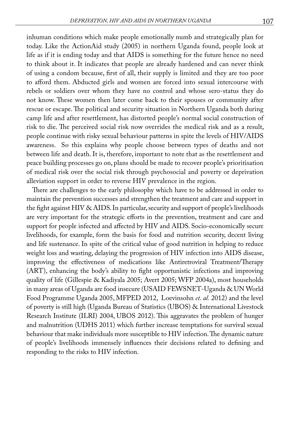inhuman conditions which make people emotionally numb and strategically plan for today. Like the ActionAid study (2005) in northern Uganda found, people look at life as if it is ending today and that AIDS is something for the future hence no need to think about it. It indicates that people are already hardened and can never think of using a condom because, first of all, their supply is limited and they are too poor to afford them. Abducted girls and women are forced into sexual intercourse with rebels or soldiers over whom they have no control and whose sero-status they do not know. These women then later come back to their spouses or community after rescue or escape. The political and security situation in Northern Uganda both during camp life and after resettlement, has distorted people's normal social construction of risk to die. The perceived social risk now overrides the medical risk and as a result, people continue with risky sexual behaviour patterns in spite the levels of HIV/AIDS awareness. So this explains why people choose between types of deaths and not between life and death. It is, therefore, important to note that as the resettlement and peace building processes go on, plans should be made to recover people's prioritisation of medical risk over the social risk through psychosocial and poverty or deprivation alleviation support in order to reverse HIV prevalence in the region.

There are challenges to the early philosophy which have to be addressed in order to maintain the prevention successes and strengthen the treatment and care and support in the fight against HIV & AIDS. In particular, security and support of people's livelihoods are very important for the strategic efforts in the prevention, treatment and care and support for people infected and affected by HIV and AIDS. Socio-economically secure livelihoods, for example, form the basis for food and nutrition security, decent living and life sustenance. In spite of the critical value of good nutrition in helping to reduce weight loss and wasting, delaying the progression of HIV infection into AIDS disease, improving the effectiveness of medications like Antiretroviral Treatment/Therapy (ART), enhancing the body's ability to fight opportunistic infections and improving quality of life (Gillespie & Kadiyala 2005; Avert 2005; WFP 2004a), most households in many areas of Uganda are food insecure (USAID FEWSNET-Uganda & UN World Food Programme Uganda 2005, MFPED 2012, Loevinsohn *et. al.* 2012) and the level of poverty is still high (Uganda Bureau of Statistics (UBOS) & International Livestock Research Institute (ILRI) 2004, UBOS 2012). This aggravates the problem of hunger and malnutrition (UDHS 2011) which further increase temptations for survival sexual behaviour that make individuals more susceptible to HIV infection. The dynamic nature of people's livelihoods immensely influences their decisions related to defining and responding to the risks to HIV infection.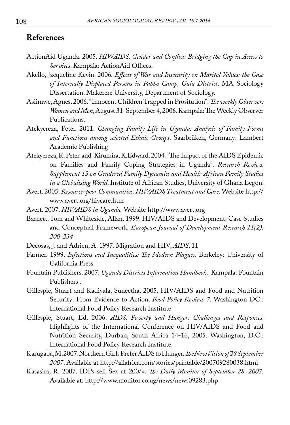### **References**

- ActionAid Uganda. 2005. *HIV/AIDS, Gender and Conflict: Bridging the Gap in Access to Services*. Kampala: ActionAid Offices.
- Akello, Jacqueline Kevin. 2006*. Effects of War and Insecurity on Marital Values: the Case of Internally Displaced Persons in Pabbo Camp, Gulu District*. MA Sociology Dissertation. Makerere University, Department of Sociology.
- Asiimwe, Agnes. 2006. "Innocent Children Trapped in Prositution". *The weekly Observer: Women and Men*, August 31-September 4, 2006. Kampala: The Weekly Observer Publications.
- Atekyereza, Peter. 2011. *Changing Family Life in Uganda: Analysis of Family Forms and Functions among selected Ethnic Groups*. Saarbrüken, Germany: Lambert Academic Publishing
- Atekyereza, R. Peter. and Kirumira, K.Edward. 2004. "The Impact of the AIDS Epidemic on Families and Family Coping Strategies in Uganda". *Research Review Supplement 15 on Gendered Family Dynamics and Health: African Family Studies in a Globalising World*. Institute of African Studies, University of Ghana Legon.
- Avert. 2005. *Resource-poor Communities: HIV/AIDS Treatment and Care*. Website http:// www.avert.org/hivcare.htm
- Avert. 2007. *HIV/AIDS in Uganda.* Website http://www.avert.org
- Barnett, Tom and Whiteside, Allan. 1999. HIV/AIDS and Development: Case Studies and Conceptual Framework*. European Journal of Development Research 11(2): 200-234*
- Decosas, J. and Adrien, A. 1997. Migration and HIV, *AIDS*, 11
- Farmer. 1999. *Infections and Inequalities: The Modern Plagues*. Berkeley: University of California Press.
- Fountain Publishers. 2007. *Uganda Districts Information Handbook*. Kampala: Fountain Publishers .
- Gillespie, Stuart and Kadiyala, Suneetha. 2005. HIV/AIDS and Food and Nutrition Security: From Evidence to Action. *Food Policy Review 7*. Washington DC.: International Food Policy Research Institute
- Gillespie, Stuart, Ed. 2006. *AIDS, Poverty and Hunger: Challenges and Responses*. Highlights of the International Conference on HIV/AIDS and Food and Nutrition Security, Durban, South Africa 14-16, 2005. Washington, D.C.: International Food Policy Research Institute.
- Karugaba, M. 2007. Northern Girls Prefer AIDS to Hunger. *The New Vision of 28 September 2007*. Available at http://allafrica.com/stories/printable/200709280038.html
- Kasasira, R. 2007. IDPs sell Sex at 200/=. *The Daily Monitor of September 28, 2007.*  Available at: http://www.monitor.co.ug/news/news09283.php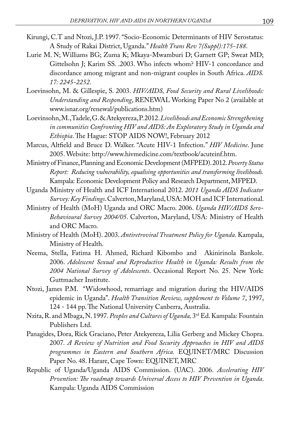- Kirungi, C.T and Ntozi, J.P. 1997. "Socio-Economic Determinants of HIV Serostatus: A Study of Rakai District, Uganda." *Health Trans Rev 7(Suppl):175-188*.
- Lurie M. N; Williams BG; Zuma K; Mkaya-Mwamburi D; Garnett GP; Sweat MD; Gittelsohn J; Karim SS. .2003. Who infects whom? HIV-1 concordance and discordance among migrant and non-migrant couples in South Africa. *AIDS. 17: 2245-2252*.
- Loevinsohn, M. & Gillespie, S. 2003. *HIV/AIDS, Food Security and Rural Livelihoods: Understanding and Responding*, RENEWAL Working Paper No 2 (available at www.isnar.org/renewal/publications.htm)
- Loevinsohn, M., Tadele, G. & Atekyereza, P. 2012. *Livelihoods and Economic Strengthening in communities Confronting HIV and AIDS: An Exploratory Study in Uganda and Ethiopia*. The Hague: STOP AIDS NOW!, February 2012
- Marcus, Altfield and Bruce D. Walker. "Acute HIV-1 Infection." *HIV Medicine*. June 2005. Website: http://www.hivmedicine.com/textbook/acuteinf.htm.
- Ministry of Finance, Planning and Economic Development (MFPED). 2012. *Poverty Status Report: Reducing vulnerability, equalising opportunities and transforming livelihoods.* Kampala: Economic Development Policy and Research Department, MFPED.
- Uganda Ministry of Health and ICF International 2012. *2011 Uganda AIDS Indicator Survey: Key Findings*. Calverton, Maryland, USA: MOH and ICF International.
- Ministry of Health (MoH) Uganda and ORC Macro. 2006. *Uganda HIV/AIDS Sero-Behavioural Survey 2004/05*. Calverton, Maryland, USA: Ministry of Health and ORC Macro.
- Ministry of Health (MoH). 2003. *Antiretroviral Treatment Policy for Uganda*. Kampala, Ministry of Health.
- Neema, Stella, Fatima H. Ahmed, Richard Kibombo and Akinirinola Bankole. 2006. *Adolescent Sexual and Reproductive Health in Uganda: Results from the 2004 National Survey of Adolescents*. Occasional Report No. 25. New York: Guttmacher Institute.
- Ntozi, James P.M. "Widowhood, remarriage and migration during the HIV/AIDS epidemic in Uganda". *Health Transition Review, supplement to Volume 7*, 1997, 124 - 144 pp. The National University Canberra, Australia.
- Nzita, R. and Mbaga, N. 1997. *Peoples and Cultures of Uganda,* 3rd Ed. Kampala: Fountain Publishers Ltd.
- Panagides, Dora, Rick Graciano, Peter Atekyereza, Lilia Gerberg and Mickey Chopra. 2007*. A Review of Nutrition and Food Security Approaches in HIV and AIDS programmes in Eastern and Southern Africa.* EQUINET/MRC Discussion Paper No. 48. Harare, Cape Town: EQUINET, MRC
- Republic of Uganda/Uganda AIDS Commission. (UAC). 2006. *Accelerating HIV Prvention: The roadmap towards Universal Access to HIV Prevention in Uganda*. Kampala: Uganda AIDS Commission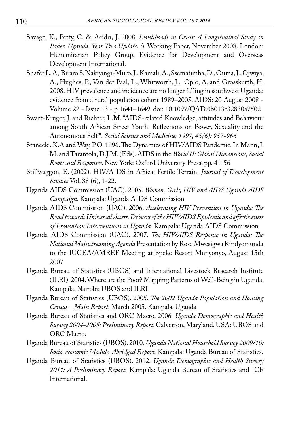- Savage, K., Petty, C. & Acidri, J. 2008. *Livelihoods in Crisis: A Longitudinal Study in Pader, Uganda. Year Two Update*. A Working Paper, November 2008. London: Humanitarian Policy Group, Evidence for Development and Overseas Development International.
- Shafer L. A, Biraro S, Nakiyingi-Miiro, J., Kamali, A., Ssematimba, D., Ouma, J., Ojwiya, A., Hughes, P., Van der Paal, L., Whitworth, J., Opio, A. and Grosskurth, H. 2008. HIV prevalence and incidence are no longer falling in southwest Uganda: evidence from a rural population cohort 1989–2005. AIDS: 20 August 2008 - Volume 22 - Issue 13 - p 1641–1649, doi: 10.1097/QAD.0b013e32830a7502
- Swart-Kruger, J. and Richter, L.M. "AIDS-related Knowledge, attitudes and Behaviour among South African Street Youth: Reflections on Power, Sexuality and the Autonomous Self ". *Social Science and Medicine, 1997, 45(6): 957-966*
- Stanecki, K.A and Way, P.O. 1996. The Dynamics of HIV/AIDS Pandemic. In Mann, J. M. and Tarantola, D.J.M. (Eds). AIDS in the *World II: Global Dimensions, Social Roots and Responses*. New York: Oxford University Press, pp. 41-56
- Stillwaggon, E. (2002). HIV/AIDS in Africa: Fertile Terrain. *Journal of Development Studies* Vol. 38 (6), 1-22.
- Uganda AIDS Commission (UAC). 2005. *Women, Girls, HIV and AIDS Uganda AIDS Campaign*. Kampala: Uganda AIDS Commission
- Uganda AIDS Commission (UAC). 2006. *Accelerating HIV Prevention in Uganda: The Road towards Universal Access. Drivers of the HIV/AIDS Epidemic and effectiveness of Prevention Interventions in Uganda.* Kampala: Uganda AIDS Commission
- Uganda AIDS Commission (UAC). 2007. *The HIV/AIDS Response in Uganda: The National Mainstreaming Agenda* Presentation by Rose Mwesigwa Kindyomunda to the IUCEA/AMREF Meeting at Speke Resort Munyonyo, August 15th 2007
- Uganda Bureau of Statistics (UBOS) and International Livestock Research Institute (ILRI). 2004. Where are the Poor? Mapping Patterns of Well-Being in Uganda. Kampala, Nairobi: UBOS and ILRI
- Uganda Bureau of Statistics (UBOS). 2005. *The 2002 Uganda Population and Housing Census – Main Report*. March 2005. Kampala, Uganda
- Uganda Bureau of Statistics and ORC Macro. 2006*. Uganda Demographic and Health Survey 2004-2005: Preliminary Report*. Calverton, Maryland, USA: UBOS and ORC Macro.
- Uganda Bureau of Statistics (UBOS). 2010*. Uganda National Household Survey 2009/10: Socio-economic Module-Abridged Report.* Kampala: Uganda Bureau of Statistics.
- Uganda Bureau of Statistics (UBOS). 2012. *Uganda Demographic and Health Survey 2011: A Preliminary Report.* Kampala: Uganda Bureau of Statistics and ICF International.